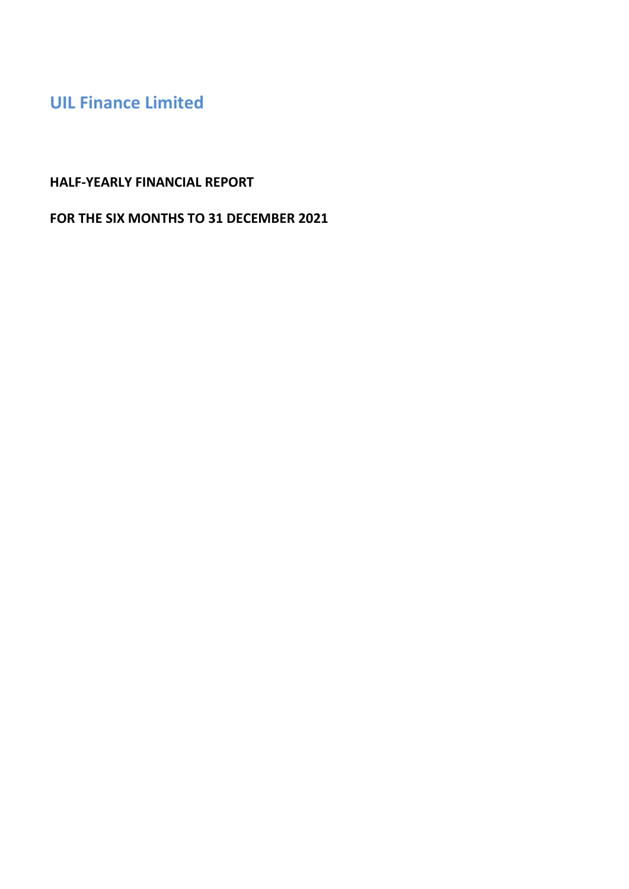# **HALF-YEARLY FINANCIAL REPORT**

# **FOR THE SIX MONTHS TO 31 DECEMBER 2021**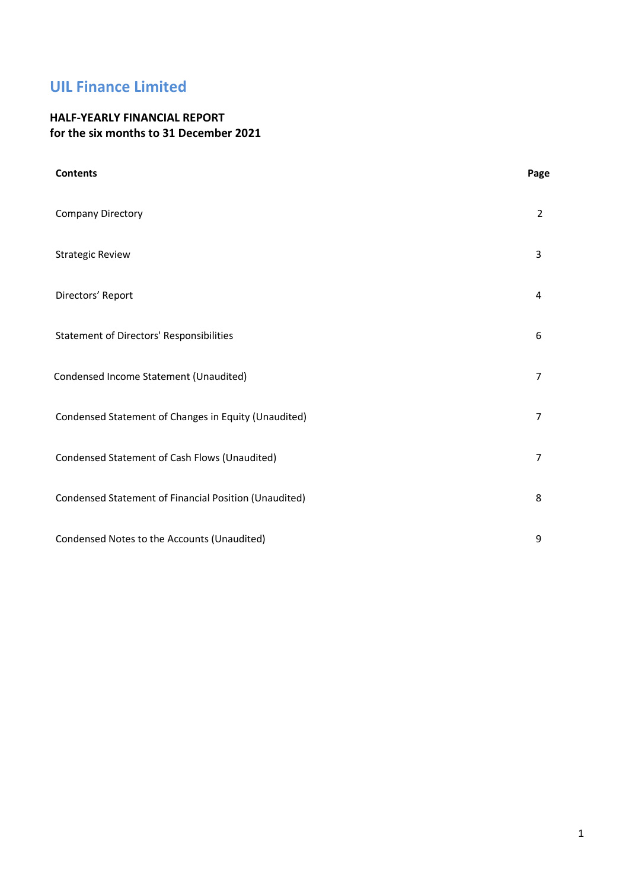## **HALF-YEARLY FINANCIAL REPORT for the six months to 31 December 2021**

| <b>Contents</b>                                       | Page           |
|-------------------------------------------------------|----------------|
| Company Directory                                     | $\overline{2}$ |
| <b>Strategic Review</b>                               | 3              |
| Directors' Report                                     | 4              |
| <b>Statement of Directors' Responsibilities</b>       | 6              |
| Condensed Income Statement (Unaudited)                | 7              |
| Condensed Statement of Changes in Equity (Unaudited)  | 7              |
| Condensed Statement of Cash Flows (Unaudited)         | 7              |
| Condensed Statement of Financial Position (Unaudited) | 8              |
| Condensed Notes to the Accounts (Unaudited)           | 9              |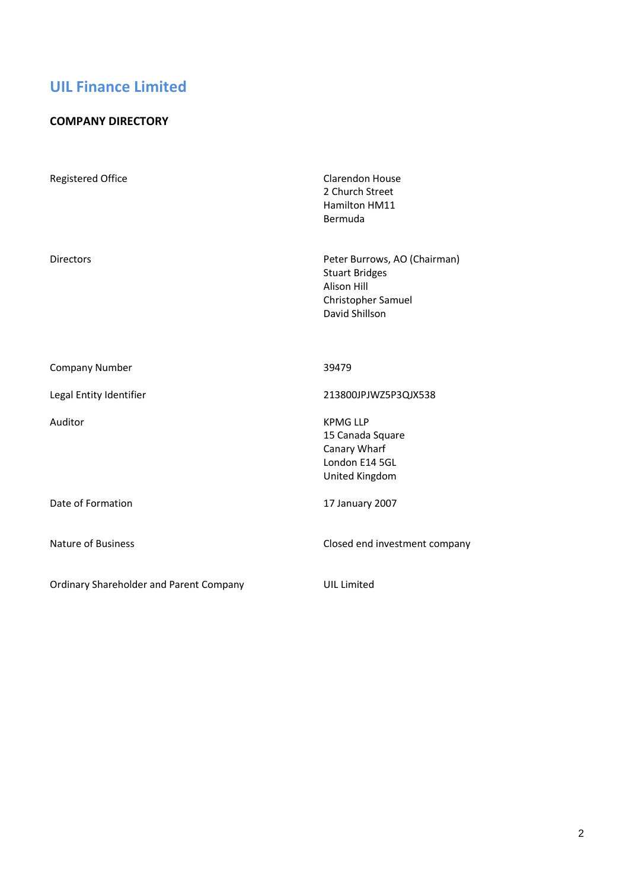## **COMPANY DIRECTORY**

| <b>Registered Office</b>                       | <b>Clarendon House</b><br>2 Church Street<br>Hamilton HM11<br>Bermuda                                               |
|------------------------------------------------|---------------------------------------------------------------------------------------------------------------------|
| <b>Directors</b>                               | Peter Burrows, AO (Chairman)<br><b>Stuart Bridges</b><br><b>Alison Hill</b><br>Christopher Samuel<br>David Shillson |
| <b>Company Number</b>                          | 39479                                                                                                               |
| Legal Entity Identifier                        | 213800JPJWZ5P3QJX538                                                                                                |
| Auditor                                        | <b>KPMG LLP</b><br>15 Canada Square<br>Canary Wharf<br>London E14 5GL<br>United Kingdom                             |
| Date of Formation                              | 17 January 2007                                                                                                     |
| Nature of Business                             | Closed end investment company                                                                                       |
| <b>Ordinary Shareholder and Parent Company</b> | <b>UIL Limited</b>                                                                                                  |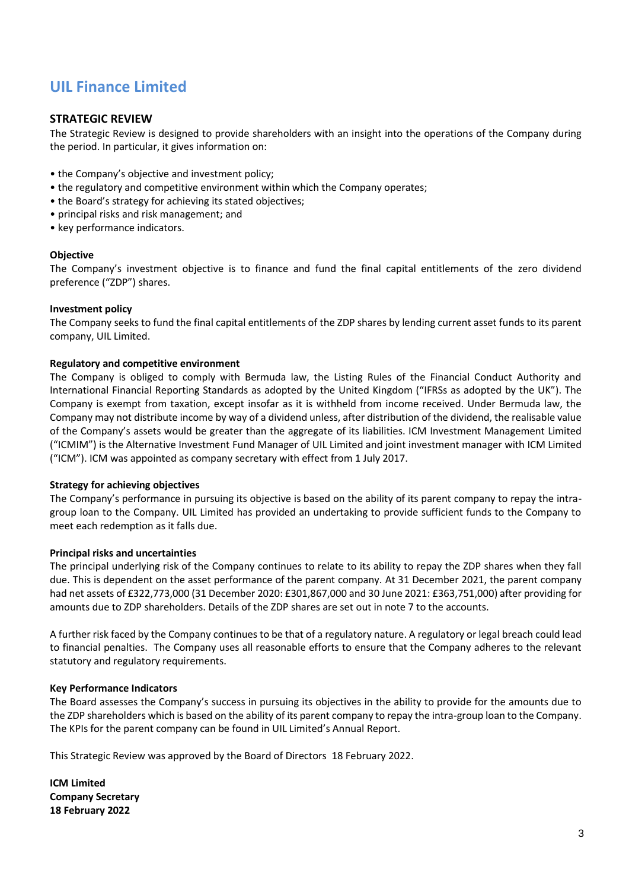#### **STRATEGIC REVIEW**

The Strategic Review is designed to provide shareholders with an insight into the operations of the Company during the period. In particular, it gives information on:

- the Company's objective and investment policy;
- the regulatory and competitive environment within which the Company operates;
- the Board's strategy for achieving its stated objectives;
- principal risks and risk management; and
- key performance indicators.

#### **Objective**

The Company's investment objective is to finance and fund the final capital entitlements of the zero dividend preference ("ZDP") shares.

#### **Investment policy**

The Company seeks to fund the final capital entitlements of the ZDP shares by lending current asset funds to its parent company, UIL Limited.

#### **Regulatory and competitive environment**

The Company is obliged to comply with Bermuda law, the Listing Rules of the Financial Conduct Authority and International Financial Reporting Standards as adopted by the United Kingdom ("IFRSs as adopted by the UK"). The Company is exempt from taxation, except insofar as it is withheld from income received. Under Bermuda law, the Company may not distribute income by way of a dividend unless, after distribution of the dividend, the realisable value of the Company's assets would be greater than the aggregate of its liabilities. ICM Investment Management Limited ("ICMIM") is the Alternative Investment Fund Manager of UIL Limited and joint investment manager with ICM Limited ("ICM"). ICM was appointed as company secretary with effect from 1 July 2017.

#### **Strategy for achieving objectives**

The Company's performance in pursuing its objective is based on the ability of its parent company to repay the intragroup loan to the Company. UIL Limited has provided an undertaking to provide sufficient funds to the Company to meet each redemption as it falls due.

#### **Principal risks and uncertainties**

The principal underlying risk of the Company continues to relate to its ability to repay the ZDP shares when they fall due. This is dependent on the asset performance of the parent company. At 31 December 2021, the parent company had net assets of £322,773,000 (31 December 2020: £301,867,000 and 30 June 2021: £363,751,000) after providing for amounts due to ZDP shareholders. Details of the ZDP shares are set out in note 7 to the accounts.

A further risk faced by the Company continues to be that of a regulatory nature. A regulatory or legal breach could lead to financial penalties. The Company uses all reasonable efforts to ensure that the Company adheres to the relevant statutory and regulatory requirements.

#### **Key Performance Indicators**

The Board assesses the Company's success in pursuing its objectives in the ability to provide for the amounts due to the ZDP shareholders which is based on the ability of its parent company to repay the intra-group loan to the Company. The KPIs for the parent company can be found in UIL Limited's Annual Report.

This Strategic Review was approved by the Board of Directors 18 February 2022.

**ICM Limited Company Secretary 18 February 2022**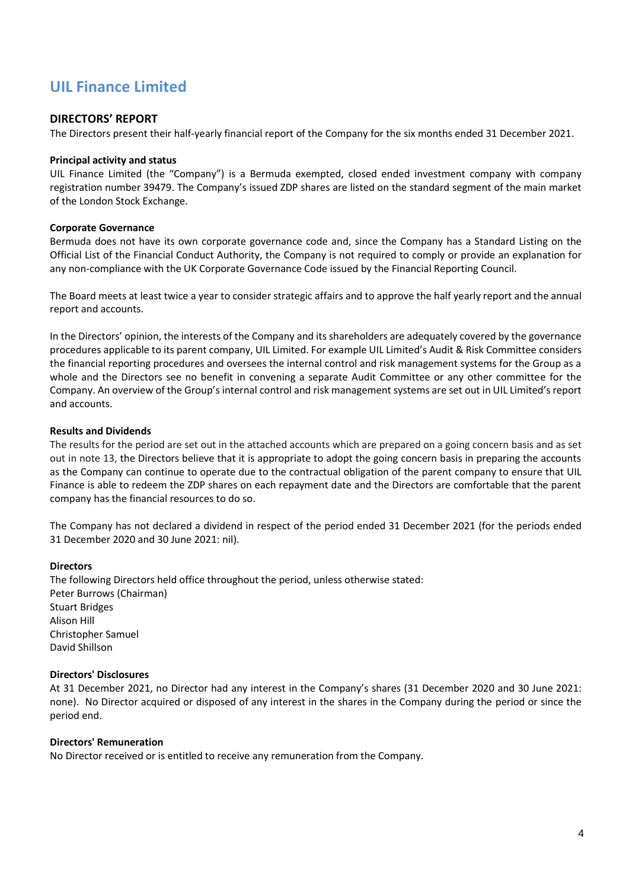#### **DIRECTORS' REPORT**

The Directors present their half-yearly financial report of the Company for the six months ended 31 December 2021.

#### **Principal activity and status**

UIL Finance Limited (the "Company") is a Bermuda exempted, closed ended investment company with company registration number 39479. The Company's issued ZDP shares are listed on the standard segment of the main market of the London Stock Exchange.

#### **Corporate Governance**

Bermuda does not have its own corporate governance code and, since the Company has a Standard Listing on the Official List of the Financial Conduct Authority, the Company is not required to comply or provide an explanation for any non-compliance with the UK Corporate Governance Code issued by the Financial Reporting Council.

The Board meets at least twice a year to consider strategic affairs and to approve the half yearly report and the annual report and accounts.

In the Directors' opinion, the interests of the Company and its shareholders are adequately covered by the governance procedures applicable to its parent company, UIL Limited. For example UIL Limited's Audit & Risk Committee considers the financial reporting procedures and oversees the internal control and risk management systems for the Group as a whole and the Directors see no benefit in convening a separate Audit Committee or any other committee for the Company. An overview of the Group's internal control and risk management systems are set out in UIL Limited's report and accounts.

#### **Results and Dividends**

The results for the period are set out in the attached accounts which are prepared on a going concern basis and as set out in note 13, the Directors believe that it is appropriate to adopt the going concern basis in preparing the accounts as the Company can continue to operate due to the contractual obligation of the parent company to ensure that UIL Finance is able to redeem the ZDP shares on each repayment date and the Directors are comfortable that the parent company has the financial resources to do so.

The Company has not declared a dividend in respect of the period ended 31 December 2021 (for the periods ended 31 December 2020 and 30 June 2021: nil).

#### **Directors**

The following Directors held office throughout the period, unless otherwise stated: Peter Burrows (Chairman) Stuart Bridges Alison Hill Christopher Samuel David Shillson

#### **Directors' Disclosures**

At 31 December 2021, no Director had any interest in the Company's shares (31 December 2020 and 30 June 2021: none). No Director acquired or disposed of any interest in the shares in the Company during the period or since the period end.

#### **Directors' Remuneration**

No Director received or is entitled to receive any remuneration from the Company.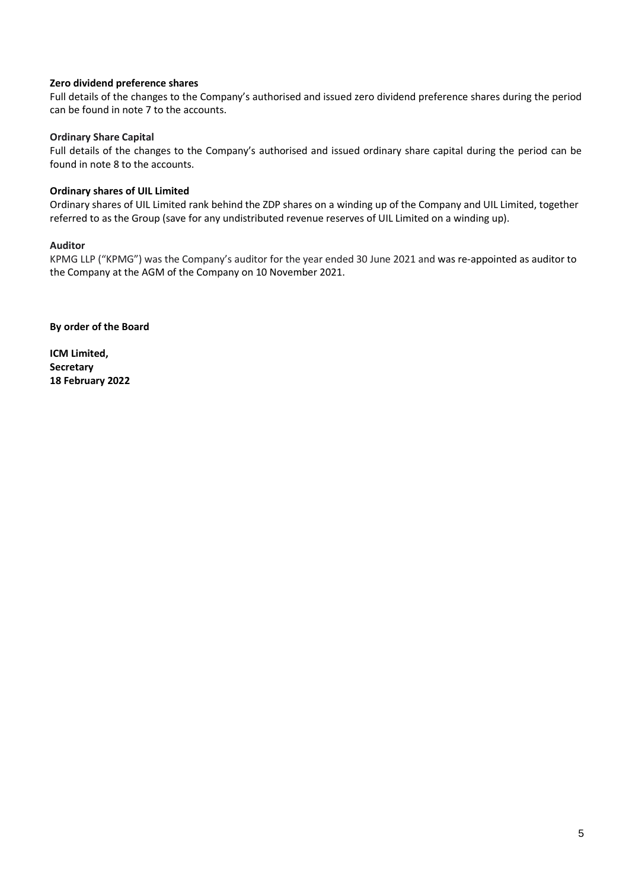#### **Zero dividend preference shares**

Full details of the changes to the Company's authorised and issued zero dividend preference shares during the period can be found in note 7 to the accounts.

#### **Ordinary Share Capital**

Full details of the changes to the Company's authorised and issued ordinary share capital during the period can be found in note 8 to the accounts.

#### **Ordinary shares of UIL Limited**

Ordinary shares of UIL Limited rank behind the ZDP shares on a winding up of the Company and UIL Limited, together referred to as the Group (save for any undistributed revenue reserves of UIL Limited on a winding up).

#### **Auditor**

KPMG LLP ("KPMG") was the Company's auditor for the year ended 30 June 2021 and was re-appointed as auditor to the Company at the AGM of the Company on 10 November 2021.

**By order of the Board**

**ICM Limited, Secretary 18 February 2022**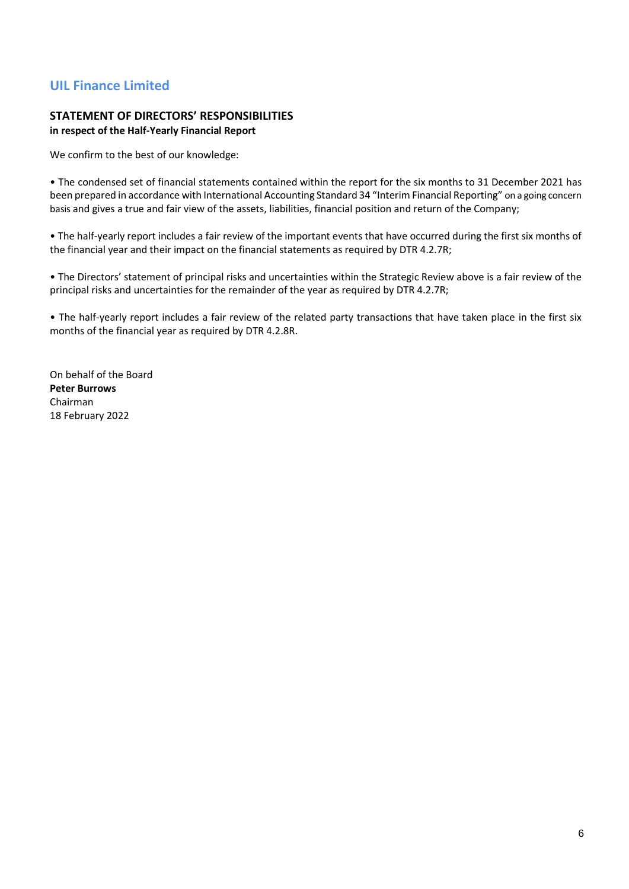# **STATEMENT OF DIRECTORS' RESPONSIBILITIES**

## **in respect of the Half-Yearly Financial Report**

We confirm to the best of our knowledge:

• The condensed set of financial statements contained within the report for the six months to 31 December 2021 has been prepared in accordance with International Accounting Standard 34 "Interim Financial Reporting" on a going concern basis and gives a true and fair view of the assets, liabilities, financial position and return of the Company;

• The half-yearly report includes a fair review of the important events that have occurred during the first six months of the financial year and their impact on the financial statements as required by DTR 4.2.7R;

• The Directors' statement of principal risks and uncertainties within the Strategic Review above is a fair review of the principal risks and uncertainties for the remainder of the year as required by DTR 4.2.7R;

• The half-yearly report includes a fair review of the related party transactions that have taken place in the first six months of the financial year as required by DTR 4.2.8R.

On behalf of the Board **Peter Burrows** Chairman 18 February 2022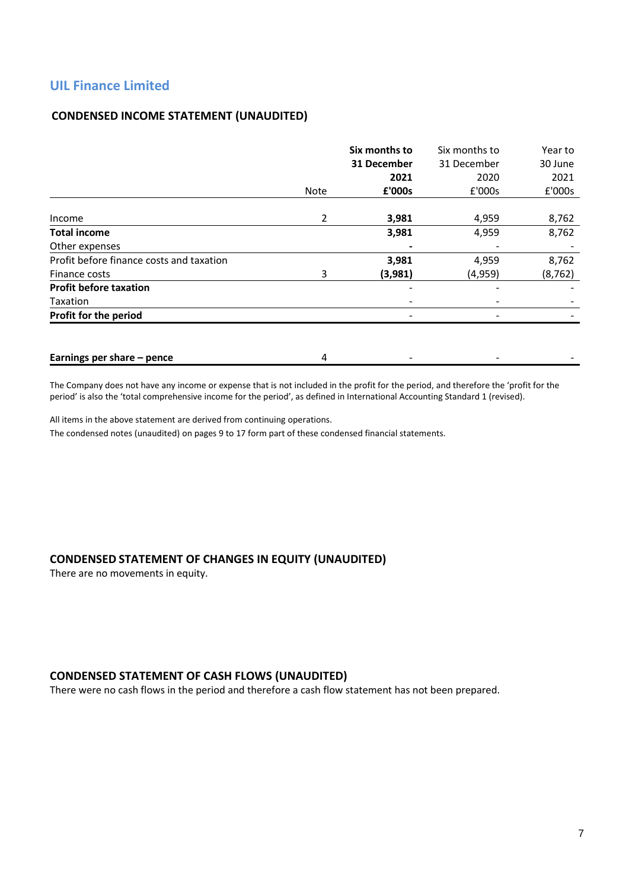## **CONDENSED INCOME STATEMENT (UNAUDITED)**

|                                          | Six months to |             | Six months to | Year to  |
|------------------------------------------|---------------|-------------|---------------|----------|
|                                          |               | 31 December | 31 December   | 30 June  |
|                                          |               | 2021        | 2020          | 2021     |
|                                          | Note          | £'000s      | £'000s        | £'000s   |
|                                          |               |             |               |          |
| Income                                   | 2             | 3,981       | 4,959         | 8,762    |
| <b>Total income</b>                      |               | 3,981       | 4,959         | 8,762    |
| Other expenses                           |               |             |               |          |
| Profit before finance costs and taxation |               | 3,981       | 4,959         | 8,762    |
| Finance costs                            | 3             | (3,981)     | (4,959)       | (8, 762) |
| <b>Profit before taxation</b>            |               |             |               |          |
| Taxation                                 |               |             |               |          |
| Profit for the period                    |               |             |               |          |
|                                          |               |             |               |          |
| Earnings per share - pence               | 4             |             |               |          |

The Company does not have any income or expense that is not included in the profit for the period, and therefore the 'profit for the period' is also the 'total comprehensive income for the period', as defined in International Accounting Standard 1 (revised).

All items in the above statement are derived from continuing operations.

The condensed notes (unaudited) on pages 9 to 17 form part of these condensed financial statements.

#### **CONDENSED STATEMENT OF CHANGES IN EQUITY (UNAUDITED)**

There are no movements in equity.

#### **CONDENSED STATEMENT OF CASH FLOWS (UNAUDITED)**

There were no cash flows in the period and therefore a cash flow statement has not been prepared.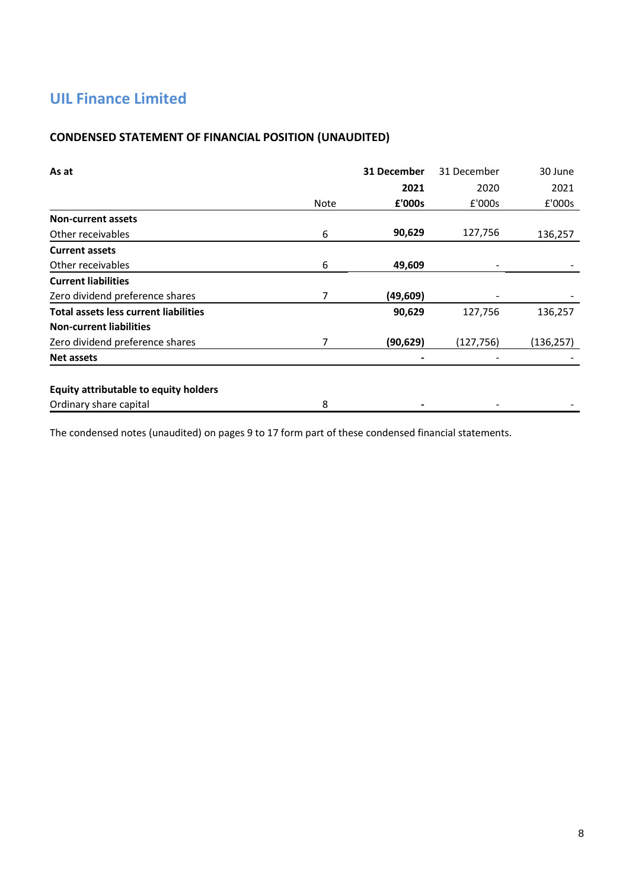## **CONDENSED STATEMENT OF FINANCIAL POSITION (UNAUDITED)**

| As at                                        |             | 31 December | 31 December | 30 June    |
|----------------------------------------------|-------------|-------------|-------------|------------|
|                                              |             | 2021        | 2020        | 2021       |
|                                              | <b>Note</b> | £'000s      | £'000s      | £'000s     |
| <b>Non-current assets</b>                    |             |             |             |            |
| Other receivables                            | 6           | 90,629      | 127,756     | 136,257    |
| <b>Current assets</b>                        |             |             |             |            |
| Other receivables                            | 6           | 49,609      |             |            |
| <b>Current liabilities</b>                   |             |             |             |            |
| Zero dividend preference shares              | 7           | (49, 609)   |             |            |
| <b>Total assets less current liabilities</b> |             | 90,629      | 127,756     | 136,257    |
| <b>Non-current liabilities</b>               |             |             |             |            |
| Zero dividend preference shares              | 7           | (90, 629)   | (127,756)   | (136, 257) |
| Net assets                                   |             |             |             |            |
| Equity attributable to equity holders        |             |             |             |            |
| Ordinary share capital                       | 8           |             |             |            |

The condensed notes (unaudited) on pages 9 to 17 form part of these condensed financial statements.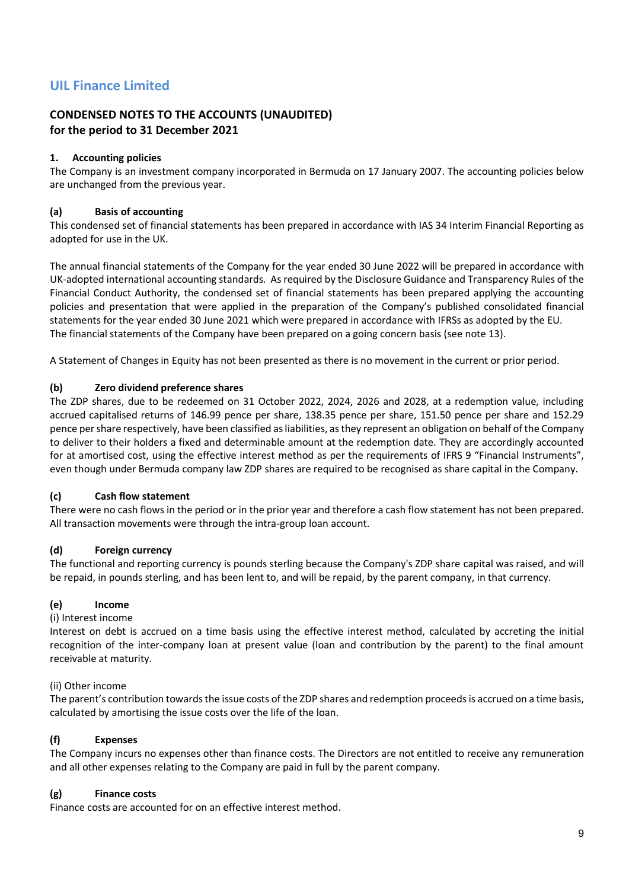## **CONDENSED NOTES TO THE ACCOUNTS (UNAUDITED) for the period to 31 December 2021**

### **1. Accounting policies**

The Company is an investment company incorporated in Bermuda on 17 January 2007. The accounting policies below are unchanged from the previous year.

#### **(a) Basis of accounting**

This condensed set of financial statements has been prepared in accordance with IAS 34 Interim Financial Reporting as adopted for use in the UK.

The annual financial statements of the Company for the year ended 30 June 2022 will be prepared in accordance with UK-adopted international accounting standards. As required by the Disclosure Guidance and Transparency Rules of the Financial Conduct Authority, the condensed set of financial statements has been prepared applying the accounting policies and presentation that were applied in the preparation of the Company's published consolidated financial statements for the year ended 30 June 2021 which were prepared in accordance with IFRSs as adopted by the EU. The financial statements of the Company have been prepared on a going concern basis (see note 13).

A Statement of Changes in Equity has not been presented as there is no movement in the current or prior period.

#### **(b) Zero dividend preference shares**

The ZDP shares, due to be redeemed on 31 October 2022, 2024, 2026 and 2028, at a redemption value, including accrued capitalised returns of 146.99 pence per share, 138.35 pence per share, 151.50 pence per share and 152.29 pence per share respectively, have been classified as liabilities, as they represent an obligation on behalf of the Company to deliver to their holders a fixed and determinable amount at the redemption date. They are accordingly accounted for at amortised cost, using the effective interest method as per the requirements of IFRS 9 "Financial Instruments", even though under Bermuda company law ZDP shares are required to be recognised as share capital in the Company.

## **(c) Cash flow statement**

There were no cash flows in the period or in the prior year and therefore a cash flow statement has not been prepared. All transaction movements were through the intra-group loan account.

#### **(d) Foreign currency**

The functional and reporting currency is pounds sterling because the Company's ZDP share capital was raised, and will be repaid, in pounds sterling, and has been lent to, and will be repaid, by the parent company, in that currency.

#### **(e) Income**

(i) Interest income

Interest on debt is accrued on a time basis using the effective interest method, calculated by accreting the initial recognition of the inter-company loan at present value (loan and contribution by the parent) to the final amount receivable at maturity.

#### (ii) Other income

The parent's contribution towards the issue costs of the ZDP shares and redemption proceeds is accrued on a time basis, calculated by amortising the issue costs over the life of the loan.

## **(f) Expenses**

The Company incurs no expenses other than finance costs. The Directors are not entitled to receive any remuneration and all other expenses relating to the Company are paid in full by the parent company.

#### **(g) Finance costs**

Finance costs are accounted for on an effective interest method.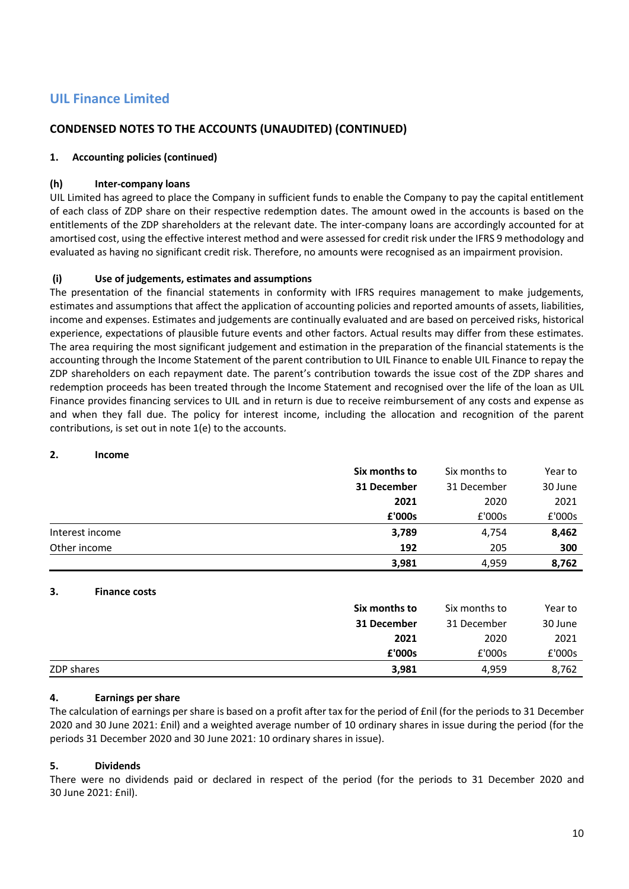## **CONDENSED NOTES TO THE ACCOUNTS (UNAUDITED) (CONTINUED)**

#### **1. Accounting policies (continued)**

#### **(h) Inter-company loans**

UIL Limited has agreed to place the Company in sufficient funds to enable the Company to pay the capital entitlement of each class of ZDP share on their respective redemption dates. The amount owed in the accounts is based on the entitlements of the ZDP shareholders at the relevant date. The inter-company loans are accordingly accounted for at amortised cost, using the effective interest method and were assessed for credit risk under the IFRS 9 methodology and evaluated as having no significant credit risk. Therefore, no amounts were recognised as an impairment provision.

#### **(i) Use of judgements, estimates and assumptions**

The presentation of the financial statements in conformity with IFRS requires management to make judgements, estimates and assumptions that affect the application of accounting policies and reported amounts of assets, liabilities, income and expenses. Estimates and judgements are continually evaluated and are based on perceived risks, historical experience, expectations of plausible future events and other factors. Actual results may differ from these estimates. The area requiring the most significant judgement and estimation in the preparation of the financial statements is the accounting through the Income Statement of the parent contribution to UIL Finance to enable UIL Finance to repay the ZDP shareholders on each repayment date. The parent's contribution towards the issue cost of the ZDP shares and redemption proceeds has been treated through the Income Statement and recognised over the life of the loan as UIL Finance provides financing services to UIL and in return is due to receive reimbursement of any costs and expense as and when they fall due. The policy for interest income, including the allocation and recognition of the parent contributions, is set out in note 1(e) to the accounts.

#### **2. Income**

|                 | Six months to | Six months to | Year to |
|-----------------|---------------|---------------|---------|
|                 | 31 December   | 31 December   | 30 June |
|                 | 2021          | 2020          | 2021    |
|                 | £'000s        | £'000s        | £'000s  |
| Interest income | 3,789         | 4,754         | 8,462   |
| Other income    | 192           | 205           | 300     |
|                 | 3,981         | 4,959         | 8,762   |

#### **3. Finance costs**

|            | Six months to | Six months to | Year to |
|------------|---------------|---------------|---------|
|            | 31 December   | 31 December   | 30 June |
|            | 2021          | 2020          | 2021    |
|            | £'000s        | £'000s        | £'000s  |
| ZDP shares | 3,981         | 4,959         | 8,762   |

#### **4. Earnings per share**

The calculation of earnings per share is based on a profit after tax for the period of £nil (for the periods to 31 December 2020 and 30 June 2021: £nil) and a weighted average number of 10 ordinary shares in issue during the period (for the periods 31 December 2020 and 30 June 2021: 10 ordinary shares in issue).

#### **5. Dividends**

There were no dividends paid or declared in respect of the period (for the periods to 31 December 2020 and 30 June 2021: £nil).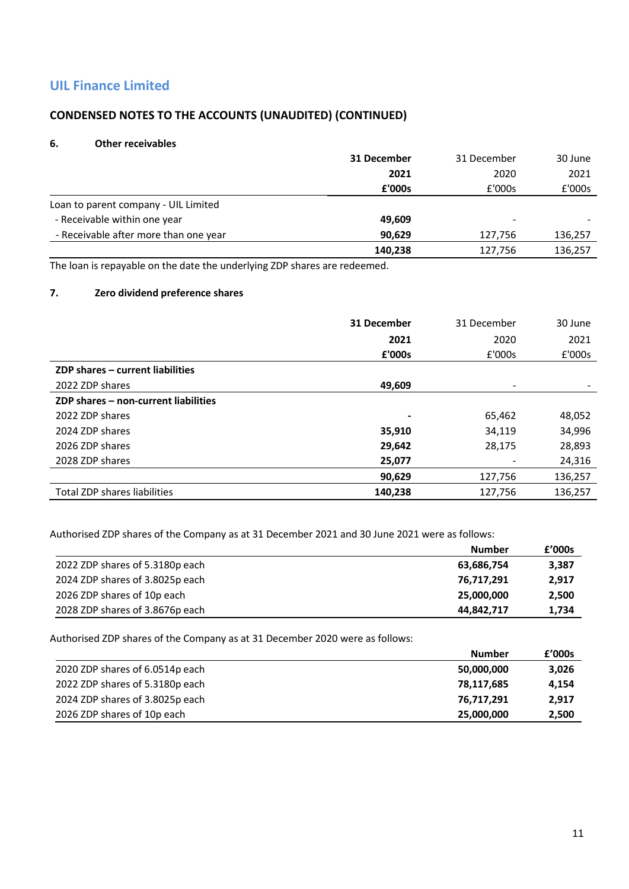## **CONDENSED NOTES TO THE ACCOUNTS (UNAUDITED) (CONTINUED)**

#### **6. Other receivables**

|                                       | 31 December | 31 December              | 30 June |
|---------------------------------------|-------------|--------------------------|---------|
|                                       | 2021        | 2020                     | 2021    |
|                                       | £'000s      | £'000s                   | £'000s  |
| Loan to parent company - UIL Limited  |             |                          |         |
| - Receivable within one year          | 49,609      | $\overline{\phantom{a}}$ |         |
| - Receivable after more than one year | 90.629      | 127.756                  | 136,257 |
|                                       | 140,238     | 127,756                  | 136,257 |

The loan is repayable on the date the underlying ZDP shares are redeemed.

## **7. Zero dividend preference shares**

|                                      | 31 December | 31 December              | 30 June |
|--------------------------------------|-------------|--------------------------|---------|
|                                      | 2021        | 2020                     | 2021    |
|                                      | £'000s      | £'000s                   | £'000s  |
| ZDP shares - current liabilities     |             |                          |         |
| 2022 ZDP shares                      | 49,609      | $\overline{\phantom{0}}$ |         |
| ZDP shares - non-current liabilities |             |                          |         |
| 2022 ZDP shares                      |             | 65,462                   | 48,052  |
| 2024 ZDP shares                      | 35,910      | 34,119                   | 34,996  |
| 2026 ZDP shares                      | 29,642      | 28,175                   | 28,893  |
| 2028 ZDP shares                      | 25,077      |                          | 24,316  |
|                                      | 90,629      | 127,756                  | 136,257 |
| Total ZDP shares liabilities         | 140.238     | 127.756                  | 136.257 |

Authorised ZDP shares of the Company as at 31 December 2021 and 30 June 2021 were as follows:

|                                 | <b>Number</b> | £'000s |
|---------------------------------|---------------|--------|
| 2022 ZDP shares of 5.3180p each | 63,686,754    | 3,387  |
| 2024 ZDP shares of 3.8025p each | 76,717,291    | 2,917  |
| 2026 ZDP shares of 10p each     | 25,000,000    | 2,500  |
| 2028 ZDP shares of 3.8676p each | 44,842,717    | 1,734  |

Authorised ZDP shares of the Company as at 31 December 2020 were as follows:

|                                 | <b>Number</b> | £'000s |
|---------------------------------|---------------|--------|
| 2020 ZDP shares of 6.0514p each | 50,000,000    | 3,026  |
| 2022 ZDP shares of 5.3180p each | 78,117,685    | 4,154  |
| 2024 ZDP shares of 3.8025p each | 76,717,291    | 2,917  |
| 2026 ZDP shares of 10p each     | 25,000,000    | 2,500  |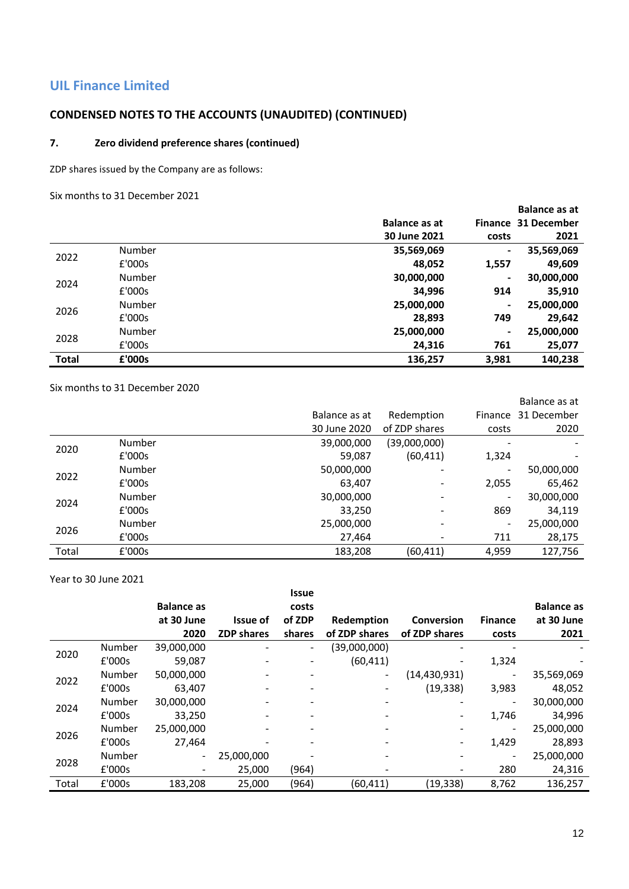## **CONDENSED NOTES TO THE ACCOUNTS (UNAUDITED) (CONTINUED)**

#### **7. Zero dividend preference shares (continued)**

ZDP shares issued by the Company are as follows:

Six months to 31 December 2021

|              |        |               |                | <b>Balance as at</b> |
|--------------|--------|---------------|----------------|----------------------|
|              |        | Balance as at |                | Finance 31 December  |
|              |        | 30 June 2021  | costs          | 2021                 |
| 2022         | Number | 35,569,069    | $\blacksquare$ | 35,569,069           |
|              | £'000s | 48,052        | 1,557          | 49,609               |
| 2024         | Number | 30,000,000    | $\blacksquare$ | 30,000,000           |
|              | £'000s | 34,996        | 914            | 35,910               |
|              | Number | 25,000,000    | $\blacksquare$ | 25,000,000           |
| 2026         | £'000s | 28,893        | 749            | 29,642               |
| 2028         | Number | 25,000,000    | $\blacksquare$ | 25,000,000           |
|              | £'000s | 24,316        | 761            | 25,077               |
| <b>Total</b> | £'000s | 136,257       | 3,981          | 140,238              |

Six months to 31 December 2020

|       |        |               |               |                          | Balance as at |
|-------|--------|---------------|---------------|--------------------------|---------------|
|       |        | Balance as at | Redemption    | Finance                  | 31 December   |
|       |        | 30 June 2020  | of ZDP shares | costs                    | 2020          |
| 2020  | Number | 39,000,000    | (39,000,000)  | $\overline{\phantom{a}}$ |               |
|       | £'000s | 59,087        | (60, 411)     | 1,324                    |               |
| 2022  | Number | 50,000,000    |               | -                        | 50,000,000    |
|       | £'000s | 63,407        |               | 2,055                    | 65,462        |
| 2024  | Number | 30,000,000    |               | -                        | 30,000,000    |
|       | £'000s | 33,250        |               | 869                      | 34,119        |
| 2026  | Number | 25,000,000    |               | $\overline{\phantom{a}}$ | 25,000,000    |
|       | £'000s | 27,464        |               | 711                      | 28,175        |
| Total | £'000s | 183,208       | (60, 411)     | 4,959                    | 127,756       |

Year to 30 June 2021

|       |        |                   |                          | <b>Issue</b>             |               |                          |                              |                   |
|-------|--------|-------------------|--------------------------|--------------------------|---------------|--------------------------|------------------------------|-------------------|
|       |        | <b>Balance as</b> |                          | costs                    |               |                          |                              | <b>Balance as</b> |
|       |        | at 30 June        | <b>Issue of</b>          | of ZDP                   | Redemption    | <b>Conversion</b>        | <b>Finance</b>               | at 30 June        |
|       |        | 2020              | <b>ZDP</b> shares        | shares                   | of ZDP shares | of ZDP shares            | costs                        | 2021              |
| 2020  | Number | 39,000,000        |                          | $\overline{\phantom{a}}$ | (39,000,000)  |                          |                              |                   |
|       | £'000s | 59,087            |                          |                          | (60, 411)     |                          | 1,324                        |                   |
| 2022  | Number | 50,000,000        | $\overline{\phantom{0}}$ |                          | -             | (14, 430, 931)           | ٠                            | 35,569,069        |
|       | £'000s | 63.407            |                          |                          |               | (19, 338)                | 3,983                        | 48,052            |
| 2024  | Number | 30,000,000        |                          |                          |               |                          | $\qquad \qquad \blacksquare$ | 30,000,000        |
|       | £'000s | 33,250            |                          |                          |               | $\overline{\phantom{a}}$ | 1,746                        | 34,996            |
| 2026  | Number | 25,000,000        |                          |                          |               |                          | $\qquad \qquad \blacksquare$ | 25,000,000        |
|       | £'000s | 27,464            |                          |                          |               | $\overline{\phantom{a}}$ | 1,429                        | 28,893            |
| 2028  | Number | $\overline{a}$    | 25,000,000               |                          |               |                          | -                            | 25,000,000        |
|       | E'000s |                   | 25,000                   | (964)                    |               |                          | 280                          | 24,316            |
| Total | £'000s | 183,208           | 25,000                   | (964)                    | (60,411)      | (19,338)                 | 8,762                        | 136,257           |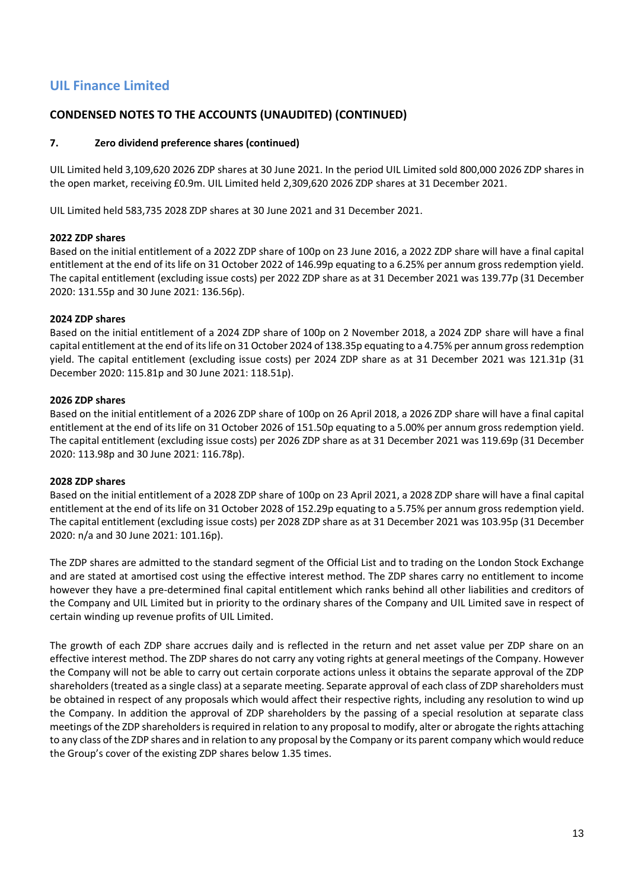## **CONDENSED NOTES TO THE ACCOUNTS (UNAUDITED) (CONTINUED)**

### **7. Zero dividend preference shares (continued)**

UIL Limited held 3,109,620 2026 ZDP shares at 30 June 2021. In the period UIL Limited sold 800,000 2026 ZDP shares in the open market, receiving £0.9m. UIL Limited held 2,309,620 2026 ZDP shares at 31 December 2021.

UIL Limited held 583,735 2028 ZDP shares at 30 June 2021 and 31 December 2021.

#### **2022 ZDP shares**

Based on the initial entitlement of a 2022 ZDP share of 100p on 23 June 2016, a 2022 ZDP share will have a final capital entitlement at the end of its life on 31 October 2022 of 146.99p equating to a 6.25% per annum gross redemption yield. The capital entitlement (excluding issue costs) per 2022 ZDP share as at 31 December 2021 was 139.77p (31 December 2020: 131.55p and 30 June 2021: 136.56p).

#### **2024 ZDP shares**

Based on the initial entitlement of a 2024 ZDP share of 100p on 2 November 2018, a 2024 ZDP share will have a final capital entitlement at the end of its life on 31 October 2024 of 138.35p equating to a 4.75% per annum gross redemption yield. The capital entitlement (excluding issue costs) per 2024 ZDP share as at 31 December 2021 was 121.31p (31 December 2020: 115.81p and 30 June 2021: 118.51p).

#### **2026 ZDP shares**

Based on the initial entitlement of a 2026 ZDP share of 100p on 26 April 2018, a 2026 ZDP share will have a final capital entitlement at the end of its life on 31 October 2026 of 151.50p equating to a 5.00% per annum gross redemption yield. The capital entitlement (excluding issue costs) per 2026 ZDP share as at 31 December 2021 was 119.69p (31 December 2020: 113.98p and 30 June 2021: 116.78p).

#### **2028 ZDP shares**

Based on the initial entitlement of a 2028 ZDP share of 100p on 23 April 2021, a 2028 ZDP share will have a final capital entitlement at the end of its life on 31 October 2028 of 152.29p equating to a 5.75% per annum gross redemption yield. The capital entitlement (excluding issue costs) per 2028 ZDP share as at 31 December 2021 was 103.95p (31 December 2020: n/a and 30 June 2021: 101.16p).

The ZDP shares are admitted to the standard segment of the Official List and to trading on the London Stock Exchange and are stated at amortised cost using the effective interest method. The ZDP shares carry no entitlement to income however they have a pre-determined final capital entitlement which ranks behind all other liabilities and creditors of the Company and UIL Limited but in priority to the ordinary shares of the Company and UIL Limited save in respect of certain winding up revenue profits of UIL Limited.

The growth of each ZDP share accrues daily and is reflected in the return and net asset value per ZDP share on an effective interest method. The ZDP shares do not carry any voting rights at general meetings of the Company. However the Company will not be able to carry out certain corporate actions unless it obtains the separate approval of the ZDP shareholders (treated as a single class) at a separate meeting. Separate approval of each class of ZDP shareholders must be obtained in respect of any proposals which would affect their respective rights, including any resolution to wind up the Company. In addition the approval of ZDP shareholders by the passing of a special resolution at separate class meetings of the ZDP shareholders is required in relation to any proposal to modify, alter or abrogate the rights attaching to any class of the ZDP shares and in relation to any proposal by the Company or its parent company which would reduce the Group's cover of the existing ZDP shares below 1.35 times.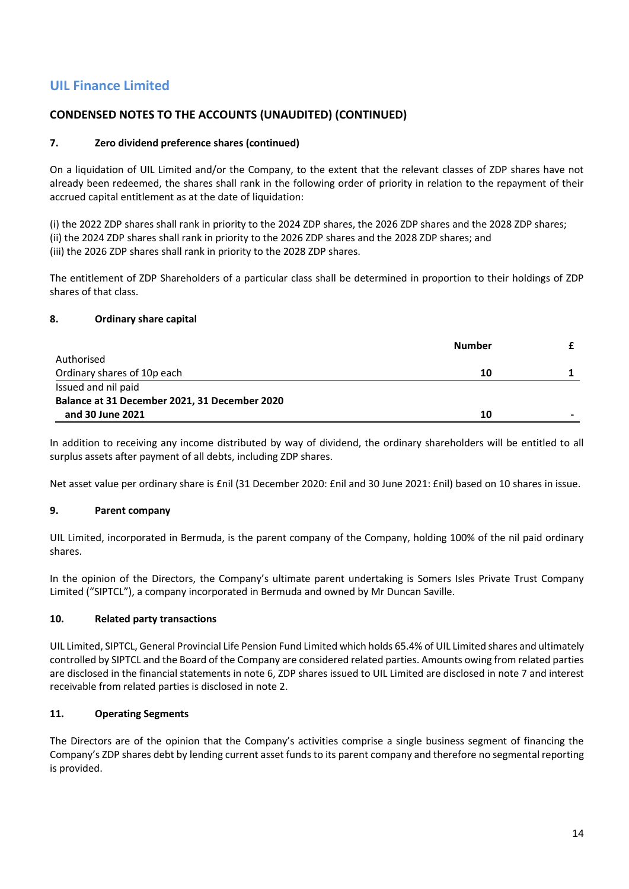## **CONDENSED NOTES TO THE ACCOUNTS (UNAUDITED) (CONTINUED)**

#### **7. Zero dividend preference shares (continued)**

On a liquidation of UIL Limited and/or the Company, to the extent that the relevant classes of ZDP shares have not already been redeemed, the shares shall rank in the following order of priority in relation to the repayment of their accrued capital entitlement as at the date of liquidation:

(i) the 2022 ZDP shares shall rank in priority to the 2024 ZDP shares, the 2026 ZDP shares and the 2028 ZDP shares; (ii) the 2024 ZDP shares shall rank in priority to the 2026 ZDP shares and the 2028 ZDP shares; and (iii) the 2026 ZDP shares shall rank in priority to the 2028 ZDP shares.

The entitlement of ZDP Shareholders of a particular class shall be determined in proportion to their holdings of ZDP shares of that class.

#### **8. Ordinary share capital**

|                                               | <b>Number</b> |                |
|-----------------------------------------------|---------------|----------------|
| Authorised                                    |               |                |
| Ordinary shares of 10p each                   | 10            |                |
| Issued and nil paid                           |               |                |
| Balance at 31 December 2021, 31 December 2020 |               |                |
| and 30 June 2021                              | 10            | $\blacksquare$ |

In addition to receiving any income distributed by way of dividend, the ordinary shareholders will be entitled to all surplus assets after payment of all debts, including ZDP shares.

Net asset value per ordinary share is £nil (31 December 2020: £nil and 30 June 2021: £nil) based on 10 shares in issue.

## **9. Parent company**

UIL Limited, incorporated in Bermuda, is the parent company of the Company, holding 100% of the nil paid ordinary shares.

In the opinion of the Directors, the Company's ultimate parent undertaking is Somers Isles Private Trust Company Limited ("SIPTCL"), a company incorporated in Bermuda and owned by Mr Duncan Saville.

#### **10. Related party transactions**

UIL Limited, SIPTCL, General Provincial Life Pension Fund Limited which holds 65.4% of UIL Limited shares and ultimately controlled by SIPTCL and the Board of the Company are considered related parties. Amounts owing from related parties are disclosed in the financial statements in note 6, ZDP shares issued to UIL Limited are disclosed in note 7 and interest receivable from related parties is disclosed in note 2.

#### **11. Operating Segments**

The Directors are of the opinion that the Company's activities comprise a single business segment of financing the Company's ZDP shares debt by lending current asset funds to its parent company and therefore no segmental reporting is provided.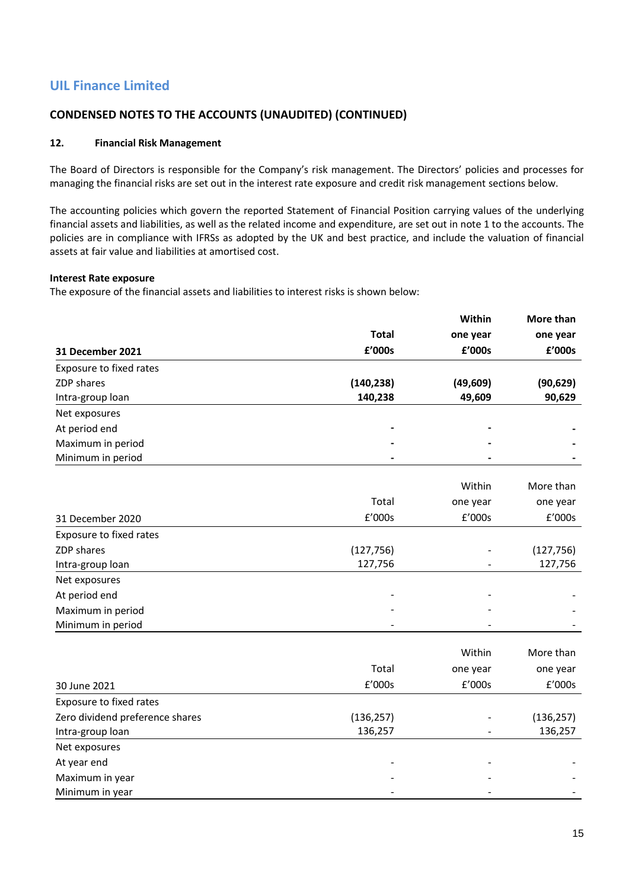## **CONDENSED NOTES TO THE ACCOUNTS (UNAUDITED) (CONTINUED)**

#### **12. Financial Risk Management**

The Board of Directors is responsible for the Company's risk management. The Directors' policies and processes for managing the financial risks are set out in the interest rate exposure and credit risk management sections below.

The accounting policies which govern the reported Statement of Financial Position carrying values of the underlying financial assets and liabilities, as well as the related income and expenditure, are set out in note 1 to the accounts. The policies are in compliance with IFRSs as adopted by the UK and best practice, and include the valuation of financial assets at fair value and liabilities at amortised cost.

#### **Interest Rate exposure**

The exposure of the financial assets and liabilities to interest risks is shown below:

|                                 |              | Within    | More than          |  |
|---------------------------------|--------------|-----------|--------------------|--|
|                                 | <b>Total</b> | one year  | one year<br>£'000s |  |
| 31 December 2021                | £'000s       | £'000s    |                    |  |
| Exposure to fixed rates         |              |           |                    |  |
| ZDP shares                      | (140, 238)   | (49, 609) | (90, 629)          |  |
| Intra-group loan                | 140,238      | 49,609    | 90,629             |  |
| Net exposures                   |              |           |                    |  |
| At period end                   |              |           |                    |  |
| Maximum in period               |              |           |                    |  |
| Minimum in period               |              |           |                    |  |
|                                 |              | Within    | More than          |  |
|                                 | Total        | one year  | one year           |  |
| 31 December 2020                | £'000s       | £'000s    | £'000s             |  |
| Exposure to fixed rates         |              |           |                    |  |
| ZDP shares                      | (127, 756)   |           | (127, 756)         |  |
| Intra-group loan                | 127,756      |           | 127,756            |  |
| Net exposures                   |              |           |                    |  |
| At period end                   |              |           |                    |  |
| Maximum in period               |              |           |                    |  |
| Minimum in period               |              |           |                    |  |
|                                 |              | Within    | More than          |  |
|                                 | Total        | one year  | one year           |  |
| 30 June 2021                    | £'000s       | £'000s    | £'000s             |  |
| Exposure to fixed rates         |              |           |                    |  |
| Zero dividend preference shares | (136, 257)   |           | (136, 257)         |  |
| Intra-group loan                | 136,257      |           | 136,257            |  |
| Net exposures                   |              |           |                    |  |
| At year end                     |              |           |                    |  |
| Maximum in year                 |              |           |                    |  |
| Minimum in year                 |              |           |                    |  |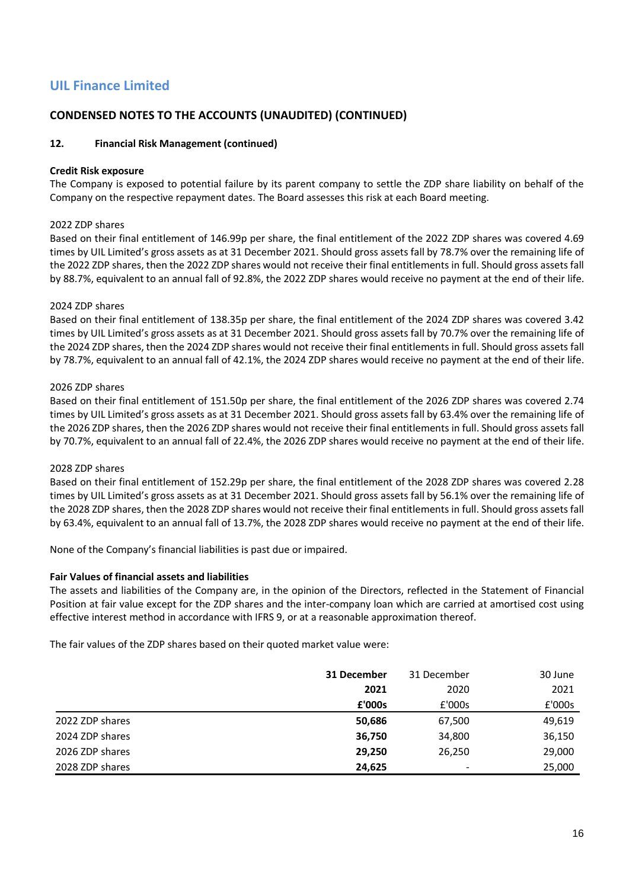## **CONDENSED NOTES TO THE ACCOUNTS (UNAUDITED) (CONTINUED)**

#### **12. Financial Risk Management (continued)**

#### **Credit Risk exposure**

The Company is exposed to potential failure by its parent company to settle the ZDP share liability on behalf of the Company on the respective repayment dates. The Board assesses this risk at each Board meeting.

#### 2022 ZDP shares

Based on their final entitlement of 146.99p per share, the final entitlement of the 2022 ZDP shares was covered 4.69 times by UIL Limited's gross assets as at 31 December 2021. Should gross assets fall by 78.7% over the remaining life of the 2022 ZDP shares, then the 2022 ZDP shares would not receive their final entitlements in full. Should gross assets fall by 88.7%, equivalent to an annual fall of 92.8%, the 2022 ZDP shares would receive no payment at the end of their life.

#### 2024 ZDP shares

Based on their final entitlement of 138.35p per share, the final entitlement of the 2024 ZDP shares was covered 3.42 times by UIL Limited's gross assets as at 31 December 2021. Should gross assets fall by 70.7% over the remaining life of the 2024 ZDP shares, then the 2024 ZDP shares would not receive their final entitlements in full. Should gross assets fall by 78.7%, equivalent to an annual fall of 42.1%, the 2024 ZDP shares would receive no payment at the end of their life.

#### 2026 ZDP shares

Based on their final entitlement of 151.50p per share, the final entitlement of the 2026 ZDP shares was covered 2.74 times by UIL Limited's gross assets as at 31 December 2021. Should gross assets fall by 63.4% over the remaining life of the 2026 ZDP shares, then the 2026 ZDP shares would not receive their final entitlements in full. Should gross assets fall by 70.7%, equivalent to an annual fall of 22.4%, the 2026 ZDP shares would receive no payment at the end of their life.

#### 2028 ZDP shares

Based on their final entitlement of 152.29p per share, the final entitlement of the 2028 ZDP shares was covered 2.28 times by UIL Limited's gross assets as at 31 December 2021. Should gross assets fall by 56.1% over the remaining life of the 2028 ZDP shares, then the 2028 ZDP shares would not receive their final entitlements in full. Should gross assets fall by 63.4%, equivalent to an annual fall of 13.7%, the 2028 ZDP shares would receive no payment at the end of their life.

None of the Company's financial liabilities is past due or impaired.

#### **Fair Values of financial assets and liabilities**

The assets and liabilities of the Company are, in the opinion of the Directors, reflected in the Statement of Financial Position at fair value except for the ZDP shares and the inter-company loan which are carried at amortised cost using effective interest method in accordance with IFRS 9, or at a reasonable approximation thereof.

The fair values of the ZDP shares based on their quoted market value were:

|                 | 31 December | 31 December              | 30 June |
|-----------------|-------------|--------------------------|---------|
|                 | 2021        | 2020                     | 2021    |
|                 | £'000s      | £'000s                   | £'000s  |
| 2022 ZDP shares | 50,686      | 67,500                   | 49,619  |
| 2024 ZDP shares | 36,750      | 34,800                   | 36,150  |
| 2026 ZDP shares | 29,250      | 26,250                   | 29,000  |
| 2028 ZDP shares | 24,625      | $\overline{\phantom{0}}$ | 25,000  |